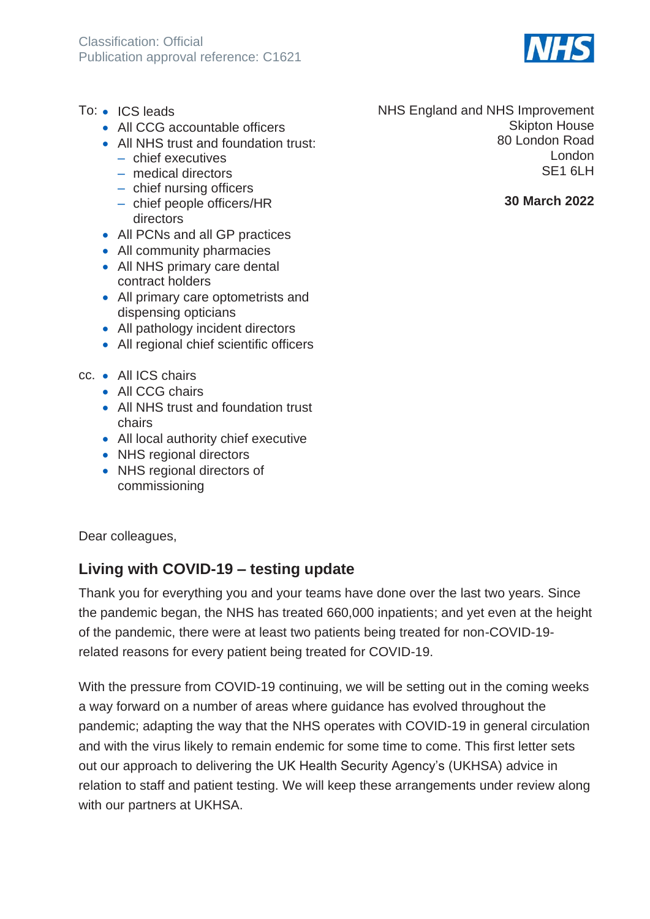- To: ICS leads
	- All CCG accountable officers
	- All NHS trust and foundation trust:
		- ‒ chief executives
		- medical directors
		- chief nursing officers
		- chief people officers/HR directors
	- All PCNs and all GP practices
	- All community pharmacies
	- All NHS primary care dental contract holders
	- All primary care optometrists and dispensing opticians
	- All pathology incident directors
	- All regional chief scientific officers
- cc. All ICS chairs
	- All CCG chairs
	- All NHS trust and foundation trust chairs
	- All local authority chief executive
	- NHS regional directors
	- NHS regional directors of commissioning

Dear colleagues,

# **Living with COVID-19 – testing update**

Thank you for everything you and your teams have done over the last two years. Since the pandemic began, the NHS has treated 660,000 inpatients; and yet even at the height of the pandemic, there were at least two patients being treated for non-COVID-19 related reasons for every patient being treated for COVID-19.

With the pressure from COVID-19 continuing, we will be setting out in the coming weeks a way forward on a number of areas where guidance has evolved throughout the pandemic; adapting the way that the NHS operates with COVID-19 in general circulation and with the virus likely to remain endemic for some time to come. This first letter sets out our approach to delivering the UK Health Security Agency's (UKHSA) advice in relation to staff and patient testing. We will keep these arrangements under review along with our partners at UKHSA.

NHS England and NHS Improvement Skipton House 80 London Road London SE1 6LH

#### **30 March 2022**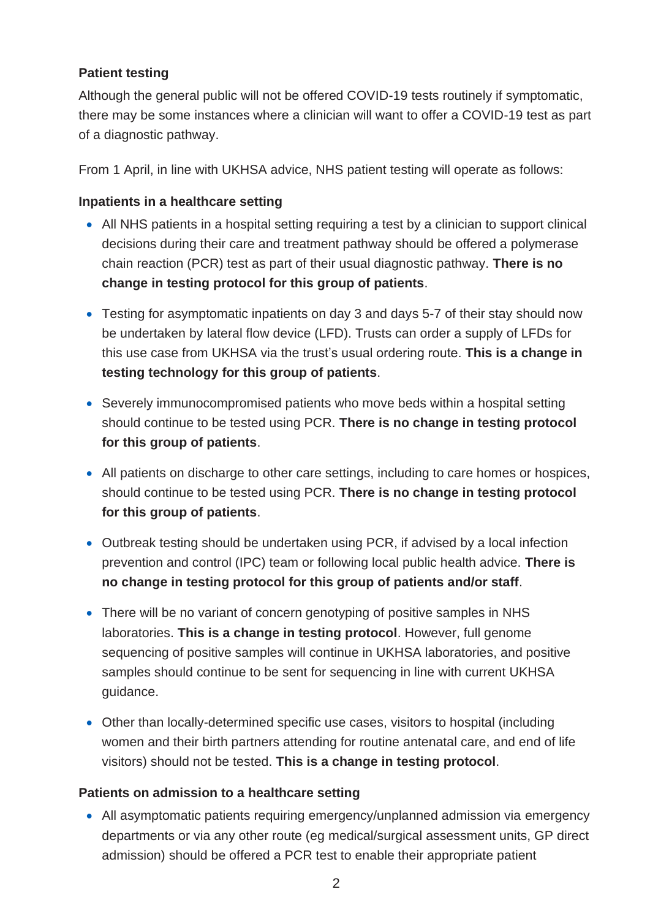# **Patient testing**

Although the general public will not be offered COVID-19 tests routinely if symptomatic, there may be some instances where a clinician will want to offer a COVID-19 test as part of a diagnostic pathway.

From 1 April, in line with UKHSA advice, NHS patient testing will operate as follows:

# **Inpatients in a healthcare setting**

- All NHS patients in a hospital setting requiring a test by a clinician to support clinical decisions during their care and treatment pathway should be offered a polymerase chain reaction (PCR) test as part of their usual diagnostic pathway. **There is no change in testing protocol for this group of patients**.
- Testing for asymptomatic inpatients on day 3 and days 5-7 of their stay should now be undertaken by lateral flow device (LFD). Trusts can order a supply of LFDs for this use case from UKHSA via the trust's usual ordering route. **This is a change in testing technology for this group of patients**.
- Severely immunocompromised patients who move beds within a hospital setting should continue to be tested using PCR. **There is no change in testing protocol for this group of patients**.
- All patients on discharge to other care settings, including to care homes or hospices, should continue to be tested using PCR. **There is no change in testing protocol for this group of patients**.
- Outbreak testing should be undertaken using PCR, if advised by a local infection prevention and control (IPC) team or following local public health advice. **There is no change in testing protocol for this group of patients and/or staff**.
- There will be no variant of concern genotyping of positive samples in NHS laboratories. **This is a change in testing protocol**. However, full genome sequencing of positive samples will continue in UKHSA laboratories, and positive samples should continue to be sent for sequencing in line with current UKHSA guidance.
- Other than locally-determined specific use cases, visitors to hospital (including women and their birth partners attending for routine antenatal care, and end of life visitors) should not be tested. **This is a change in testing protocol**.

## **Patients on admission to a healthcare setting**

• All asymptomatic patients requiring emergency/unplanned admission via emergency departments or via any other route (eg medical/surgical assessment units, GP direct admission) should be offered a PCR test to enable their appropriate patient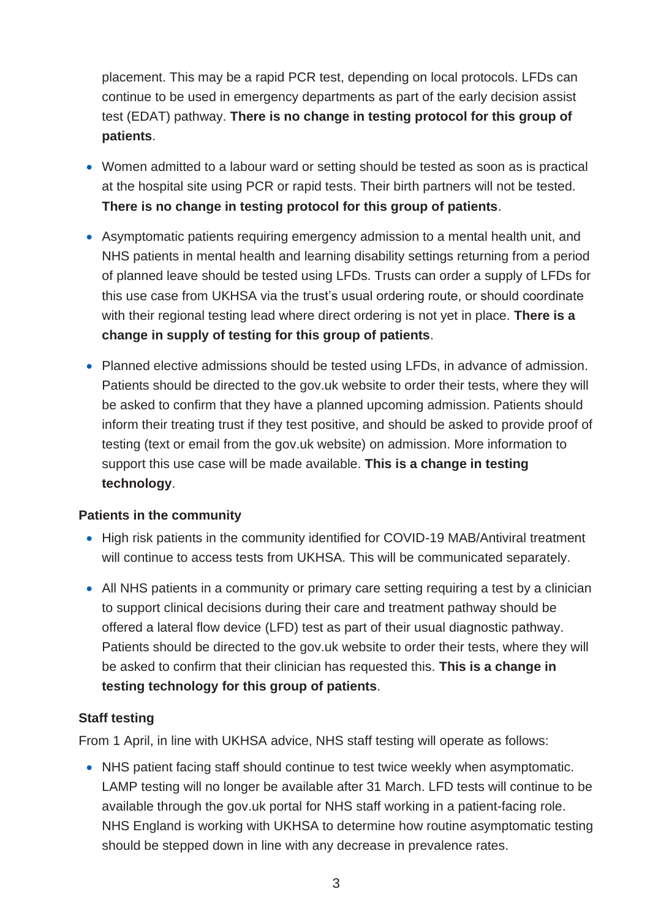placement. This may be a rapid PCR test, depending on local protocols. LFDs can continue to be used in emergency departments as part of the early decision assist test (EDAT) pathway. **There is no change in testing protocol for this group of patients**.

- Women admitted to a labour ward or setting should be tested as soon as is practical at the hospital site using PCR or rapid tests. Their birth partners will not be tested. **There is no change in testing protocol for this group of patients**.
- Asymptomatic patients requiring emergency admission to a mental health unit, and NHS patients in mental health and learning disability settings returning from a period of planned leave should be tested using LFDs. Trusts can order a supply of LFDs for this use case from UKHSA via the trust's usual ordering route, or should coordinate with their regional testing lead where direct ordering is not yet in place. **There is a change in supply of testing for this group of patients**.
- Planned elective admissions should be tested using LFDs, in advance of admission. Patients should be directed to the gov.uk website to order their tests, where they will be asked to confirm that they have a planned upcoming admission. Patients should inform their treating trust if they test positive, and should be asked to provide proof of testing (text or email from the gov.uk website) on admission. More information to support this use case will be made available. **This is a change in testing technology**.

#### **Patients in the community**

- High risk patients in the community identified for COVID-19 MAB/Antiviral treatment will continue to access tests from UKHSA. This will be communicated separately.
- All NHS patients in a community or primary care setting requiring a test by a clinician to support clinical decisions during their care and treatment pathway should be offered a lateral flow device (LFD) test as part of their usual diagnostic pathway. Patients should be directed to the gov.uk website to order their tests, where they will be asked to confirm that their clinician has requested this. **This is a change in testing technology for this group of patients**.

## **Staff testing**

From 1 April, in line with UKHSA advice, NHS staff testing will operate as follows:

• NHS patient facing staff should continue to test twice weekly when asymptomatic. LAMP testing will no longer be available after 31 March. LFD tests will continue to be available through the gov.uk portal for NHS staff working in a patient-facing role. NHS England is working with UKHSA to determine how routine asymptomatic testing should be stepped down in line with any decrease in prevalence rates.